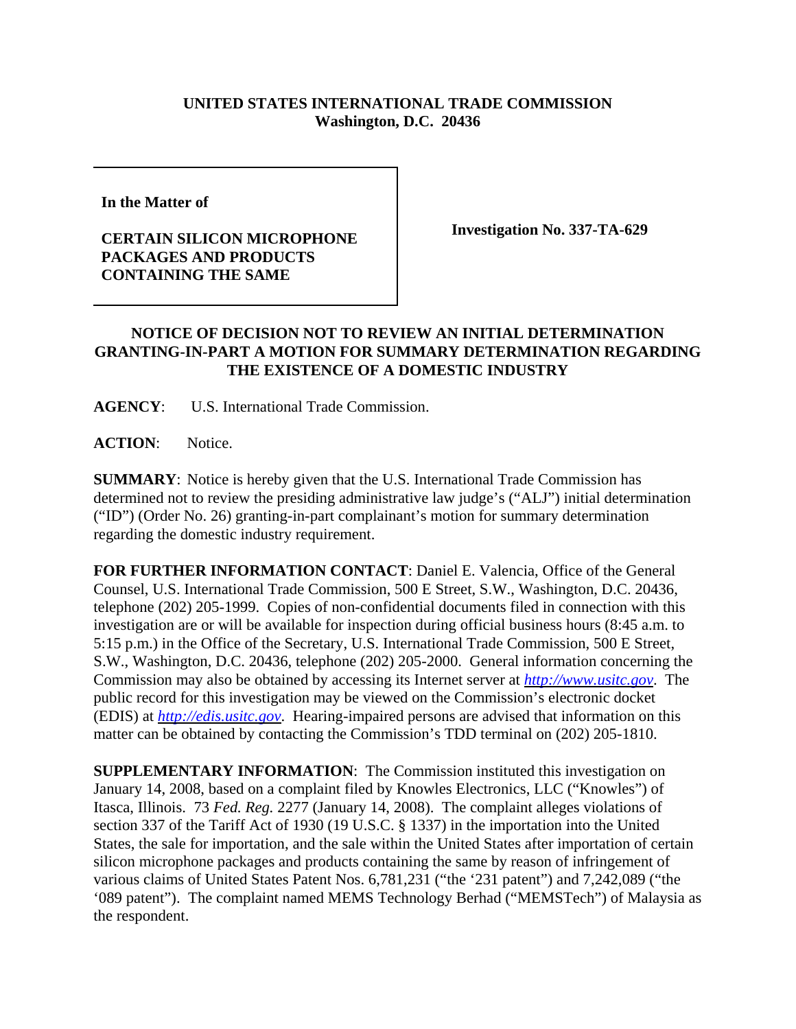## **UNITED STATES INTERNATIONAL TRADE COMMISSION Washington, D.C. 20436**

**In the Matter of** 

## **CERTAIN SILICON MICROPHONE PACKAGES AND PRODUCTS CONTAINING THE SAME**

**Investigation No. 337-TA-629**

## **NOTICE OF DECISION NOT TO REVIEW AN INITIAL DETERMINATION GRANTING-IN-PART A MOTION FOR SUMMARY DETERMINATION REGARDING THE EXISTENCE OF A DOMESTIC INDUSTRY**

**AGENCY**: U.S. International Trade Commission.

**ACTION**: Notice.

**SUMMARY**: Notice is hereby given that the U.S. International Trade Commission has determined not to review the presiding administrative law judge's ("ALJ") initial determination ("ID") (Order No. 26) granting-in-part complainant's motion for summary determination regarding the domestic industry requirement.

**FOR FURTHER INFORMATION CONTACT**: Daniel E. Valencia, Office of the General Counsel, U.S. International Trade Commission, 500 E Street, S.W., Washington, D.C. 20436, telephone (202) 205-1999. Copies of non-confidential documents filed in connection with this investigation are or will be available for inspection during official business hours (8:45 a.m. to 5:15 p.m.) in the Office of the Secretary, U.S. International Trade Commission, 500 E Street, S.W., Washington, D.C. 20436, telephone (202) 205-2000. General information concerning the Commission may also be obtained by accessing its Internet server at *http://www.usitc.gov*. The public record for this investigation may be viewed on the Commission's electronic docket (EDIS) at *http://edis.usitc.gov*. Hearing-impaired persons are advised that information on this matter can be obtained by contacting the Commission's TDD terminal on (202) 205-1810.

**SUPPLEMENTARY INFORMATION**: The Commission instituted this investigation on January 14, 2008, based on a complaint filed by Knowles Electronics, LLC ("Knowles") of Itasca, Illinois. 73 *Fed. Reg.* 2277 (January 14, 2008). The complaint alleges violations of section 337 of the Tariff Act of 1930 (19 U.S.C. § 1337) in the importation into the United States, the sale for importation, and the sale within the United States after importation of certain silicon microphone packages and products containing the same by reason of infringement of various claims of United States Patent Nos. 6,781,231 ("the '231 patent") and 7,242,089 ("the '089 patent"). The complaint named MEMS Technology Berhad ("MEMSTech") of Malaysia as the respondent.